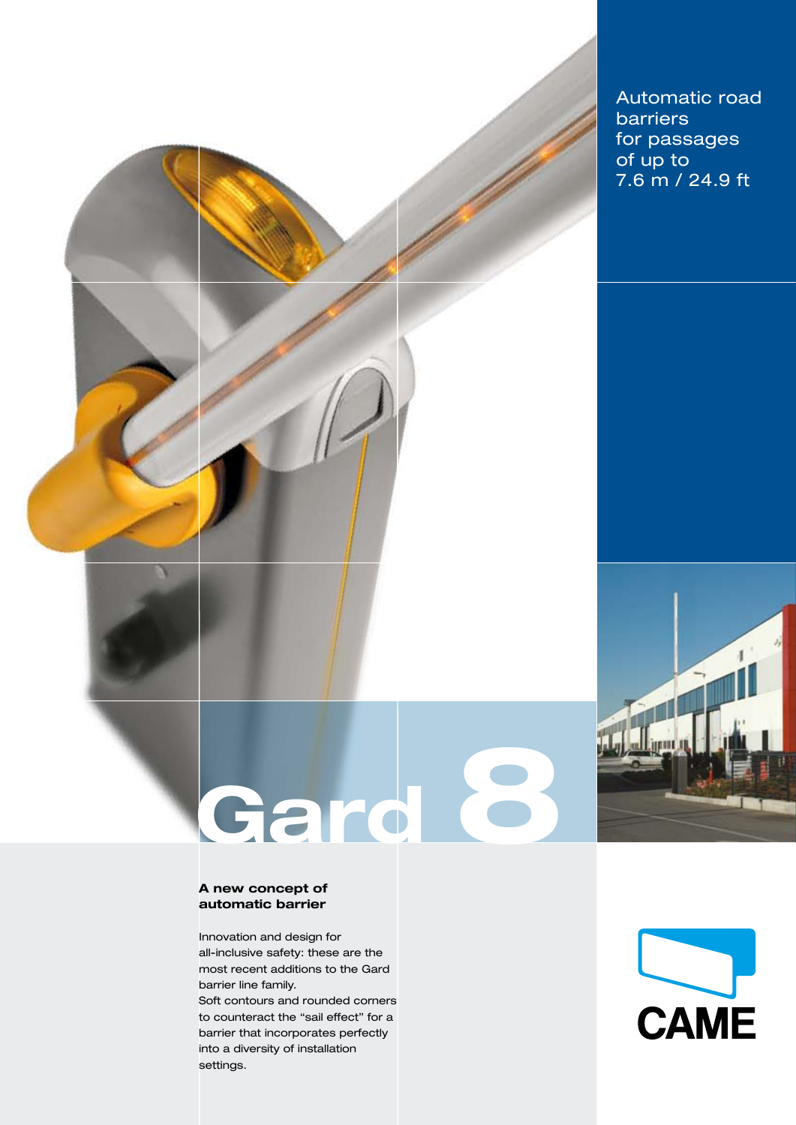Automatic road barriers for passages of up to 7.6 m / 24.9 ft

# **A new concept of automatic barrier**

Innovation and design for all-inclusive safety: these are the most recent additions to the Gard barrier line family.

Gard 6

Soft contours and rounded corners to counteract the "sail effect" for a barrier that incorporates perfectly into a diversity of installation settings.

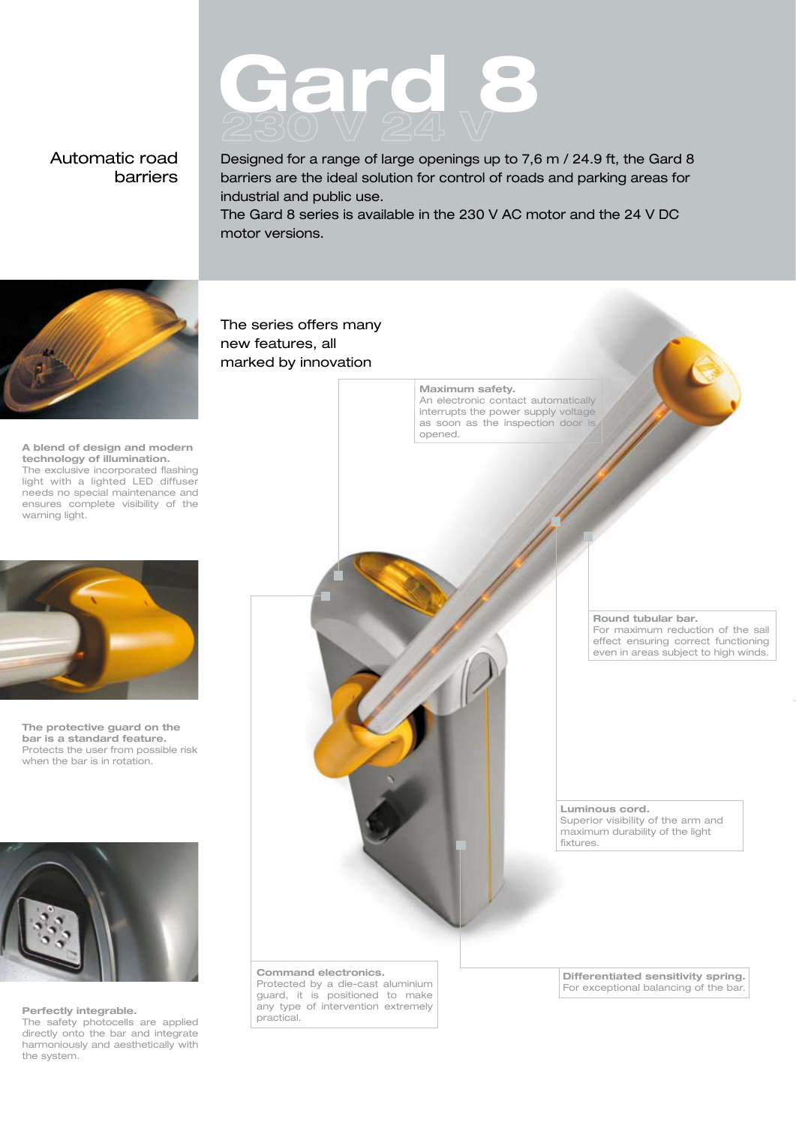# **Gard 8**

# Automatic road barriers

Designed for a range of large openings up to 7,6 m / 24.9 ft, the Gard 8 barriers are the ideal solution for control of roads and parking areas for industrial and public use.

The Gard 8 series is available in the 230 V AC motor and the 24 V DC motor versions.



**A blend of design and modern technology of illumination.** The exclusive incorporated flashing light with a lighted LED diffuser needs no special maintenance and ensures complete visibility of the warning light.



**The protective guard on the bar is a standard feature.** Protects the user from possible risk when the bar is in rotation.



#### **Perfectly integrable.**

The safety photocells are applied directly onto the bar and integrate harmoniously and aesthetically with the system.

The series offers many new features, all marked by innovation

> **Maximum safety.** An electronic contact automatically interrupts the power supply voltage as soon as the inspection door is

opened.

**Round tubular bar.**

For maximum reduction of the sail effect ensuring correct functioning even in areas subject to high winds.

**Luminous cord.** Superior visibility of the arm and maximum durability of the light fixtures.

**Command electronics.**

Protected by a die-cast aluminium guard, it is positioned to make any type of intervention extremely practical.

**Differentiated sensitivity spring.** For exceptional balancing of the bar.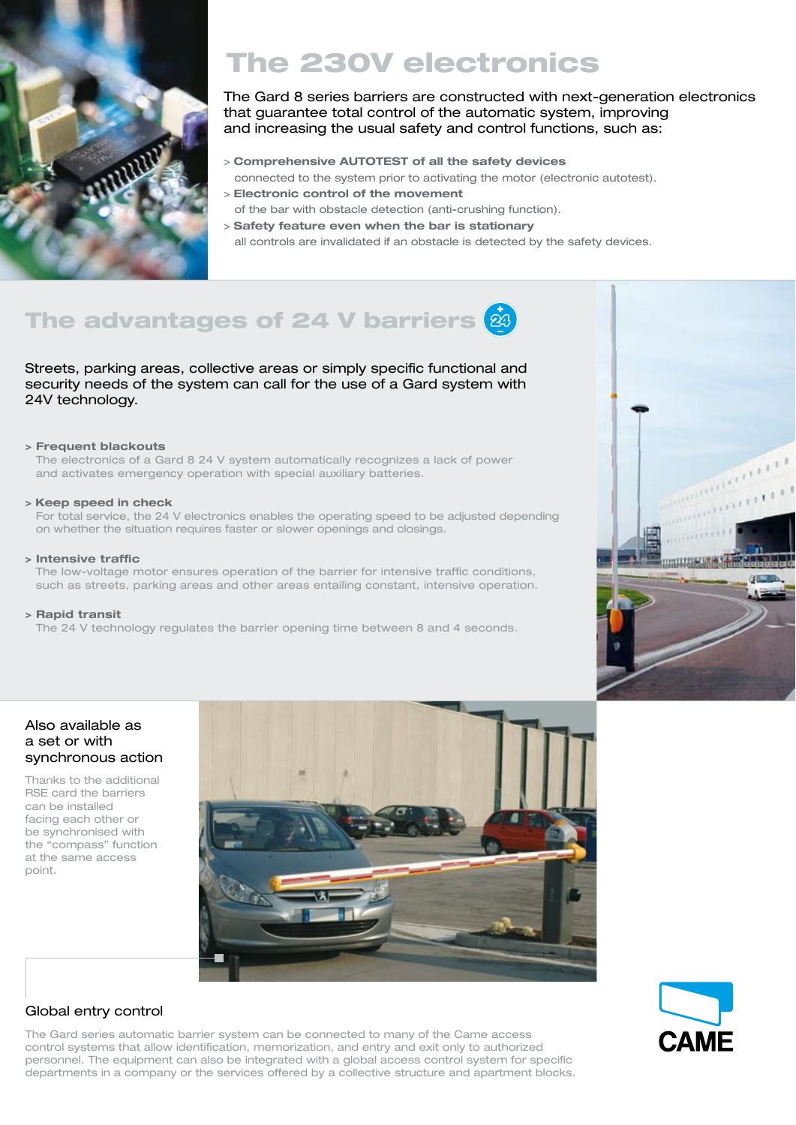

# The 230V electronics

The Gard 8 series barriers are constructed with next-generation electronics that guarantee total control of the automatic system, improving and increasing the usual safety and control functions, such as:

- > **Comprehensive AUTOTEST of all the safety devices** connected to the system prior to activating the motor (electronic autotest). > **Electronic control of the movement**
- of the bar with obstacle detection (anti-crushing function).
- > **Safety feature even when the bar is stationary**
	- all controls are invalidated if an obstacle is detected by the safety devices.

# The advantages of 24 V barriers  $\dot{a}$

Streets, parking areas, collective areas or simply specific functional and security needs of the system can call for the use of a Gard system with 24V technology.

#### **> Frequent blackouts**

The electronics of a Gard 8 24 V system automatically recognizes a lack of power and activates emergency operation with special auxiliary batteries.

#### **> Keep speed in check**

For total service, the 24 V electronics enables the operating speed to be adjusted depending on whether the situation requires faster or slower openings and closings.

#### **> Intensive traffic**

The low-voltage motor ensures operation of the barrier for intensive traffic conditions, such as streets, parking areas and other areas entailing constant, intensive operation.

#### **> Rapid transit**

The 24 V technology regulates the barrier opening time between 8 and 4 seconds.



# Also available as a set or with synchronous action

Thanks to the additional RSE card the barriers can be installed facing each other or be synchronised with the "compass" function at the same access point.



# Global entry control

The Gard series automatic barrier system can be connected to many of the Came access control systems that allow identification, memorization, and entry and exit only to authorized personnel. The equipment can also be integrated with a global access control system for specific departments in a company or the services offered by a collective structure and apartment blocks.